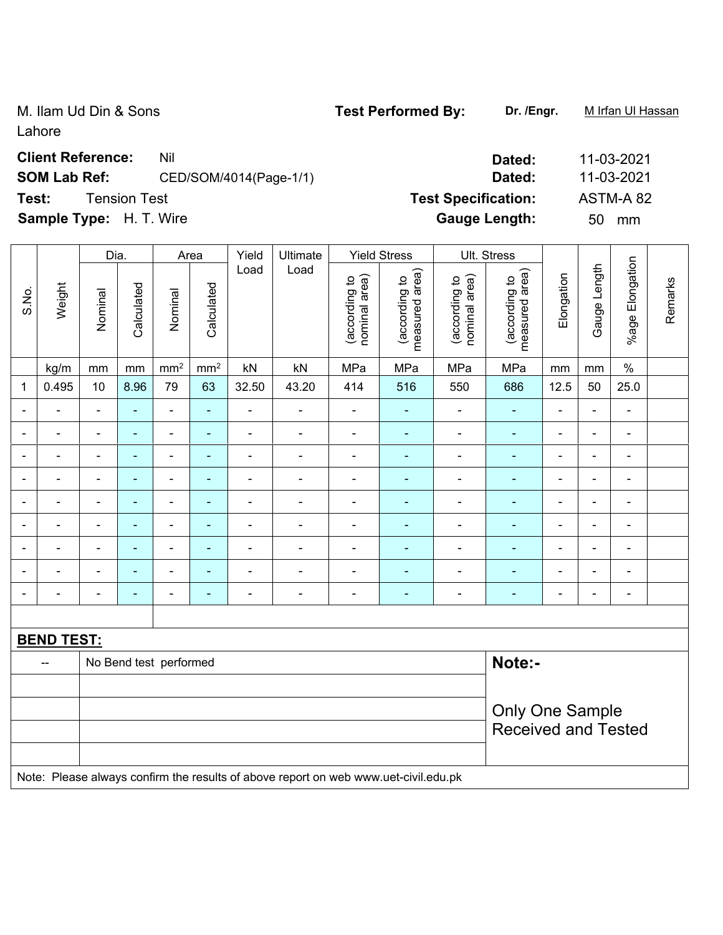M. Ilam Ud Din & Sons **Test Performed By:** Dr. /Engr. **M** Irfan Ul Hassan Lahore

**Client Reference:** Nil **Dated:** 11-03-2021

## **SOM Lab Ref:** CED/SOM/4014(Page-1/1) **Dated:** 11-03-2021

**Test:** Tension Test **Test Specification:** ASTM-A 82

**Sample Type:** H. T. Wire **Gauge Length:** 50 mm

|                          |                                                                                     | Dia.                     |                | Area                     |                 | Yield                    | Ultimate                 | <b>Yield Stress</b>            |                                 |                                | Ult. Stress                     |                              |                |                          |         |
|--------------------------|-------------------------------------------------------------------------------------|--------------------------|----------------|--------------------------|-----------------|--------------------------|--------------------------|--------------------------------|---------------------------------|--------------------------------|---------------------------------|------------------------------|----------------|--------------------------|---------|
| S.No.                    | Weight                                                                              | Nominal                  | Calculated     | Nominal                  | Calculated      | Load                     | Load                     | nominal area)<br>(according to | measured area)<br>(according to | (according to<br>nominal area) | measured area)<br>(according to | Elongation                   | Gauge Length   | %age Elongation          | Remarks |
|                          | kg/m                                                                                | mm                       | mm             | $\text{mm}^2$            | mm <sup>2</sup> | kN                       | kN                       | MPa                            | MPa                             | MPa                            | MPa                             | mm                           | mm             | $\%$                     |         |
| 1                        | 0.495                                                                               | 10                       | 8.96           | 79                       | 63              | 32.50                    | 43.20                    | 414                            | 516                             | 550                            | 686                             | 12.5                         | 50             | 25.0                     |         |
| $\blacksquare$           | ä,                                                                                  | $\blacksquare$           | $\blacksquare$ | $\frac{1}{2}$            | $\blacksquare$  | ÷,                       | $\blacksquare$           | $\blacksquare$                 | ÷                               | $\blacksquare$                 | $\blacksquare$                  | $\blacksquare$               | $\blacksquare$ | $\blacksquare$           |         |
| $\blacksquare$           | ۰                                                                                   | $\blacksquare$           | $\blacksquare$ | $\blacksquare$           | ٠               | $\blacksquare$           | $\overline{\phantom{a}}$ | $\overline{\phantom{a}}$       | $\blacksquare$                  | $\blacksquare$                 | $\blacksquare$                  | $\qquad \qquad \blacksquare$ | $\blacksquare$ | $\blacksquare$           |         |
| $\blacksquare$           | $\blacksquare$                                                                      | $\blacksquare$           | ÷.             | $\blacksquare$           | $\blacksquare$  | $\blacksquare$           | $\blacksquare$           | ä,                             | $\blacksquare$                  | $\blacksquare$                 | $\blacksquare$                  | $\blacksquare$               | $\blacksquare$ | $\blacksquare$           |         |
|                          |                                                                                     | ÷,                       | ٠              | $\blacksquare$           | ÷               | Ē,                       | ÷                        |                                | ÷                               | ä,                             | ÷,                              | $\blacksquare$               | $\blacksquare$ | $\blacksquare$           |         |
| ۰                        |                                                                                     |                          | ۰              | $\blacksquare$           |                 | $\overline{\phantom{0}}$ | $\blacksquare$           | $\blacksquare$                 | $\overline{\phantom{a}}$        | $\blacksquare$                 | $\blacksquare$                  | -                            | $\blacksquare$ | $\blacksquare$           |         |
| $\blacksquare$           |                                                                                     | $\blacksquare$           |                | $\blacksquare$           |                 |                          |                          |                                |                                 | L,                             | ä,                              | ä,                           | $\blacksquare$ | $\blacksquare$           |         |
| $\blacksquare$           |                                                                                     | $\blacksquare$           | $\blacksquare$ | $\overline{\phantom{a}}$ | $\blacksquare$  | $\blacksquare$           | $\frac{1}{2}$            | $\blacksquare$                 | ÷                               | $\blacksquare$                 | ۰                               | $\blacksquare$               | $\blacksquare$ | $\blacksquare$           |         |
| $\overline{\phantom{a}}$ | $\blacksquare$                                                                      | $\blacksquare$           | $\blacksquare$ | $\blacksquare$           | ٠               | $\blacksquare$           | $\blacksquare$           | $\blacksquare$                 | $\blacksquare$                  | $\blacksquare$                 | $\blacksquare$                  | $\overline{\phantom{a}}$     | $\blacksquare$ | $\overline{\phantom{a}}$ |         |
| $\overline{\phantom{a}}$ |                                                                                     | $\overline{\phantom{a}}$ | ٠              | ÷                        | ÷,              | Ē,                       | ÷,                       | $\blacksquare$                 | ٠                               | ÷,                             | ÷                               | $\qquad \qquad \blacksquare$ | $\blacksquare$ | $\blacksquare$           |         |
|                          |                                                                                     |                          |                |                          |                 |                          |                          |                                |                                 |                                |                                 |                              |                |                          |         |
|                          | <b>BEND TEST:</b>                                                                   |                          |                |                          |                 |                          |                          |                                |                                 |                                |                                 |                              |                |                          |         |
|                          | --                                                                                  |                          |                | No Bend test performed   |                 |                          |                          |                                |                                 |                                | Note:-                          |                              |                |                          |         |
|                          |                                                                                     |                          |                |                          |                 |                          |                          |                                |                                 |                                |                                 |                              |                |                          |         |
|                          |                                                                                     | <b>Only One Sample</b>   |                |                          |                 |                          |                          |                                |                                 |                                |                                 |                              |                |                          |         |
|                          |                                                                                     |                          |                |                          |                 |                          |                          |                                |                                 |                                | <b>Received and Tested</b>      |                              |                |                          |         |
|                          |                                                                                     |                          |                |                          |                 |                          |                          |                                |                                 |                                |                                 |                              |                |                          |         |
|                          | Note: Please always confirm the results of above report on web www.uet-civil.edu.pk |                          |                |                          |                 |                          |                          |                                |                                 |                                |                                 |                              |                |                          |         |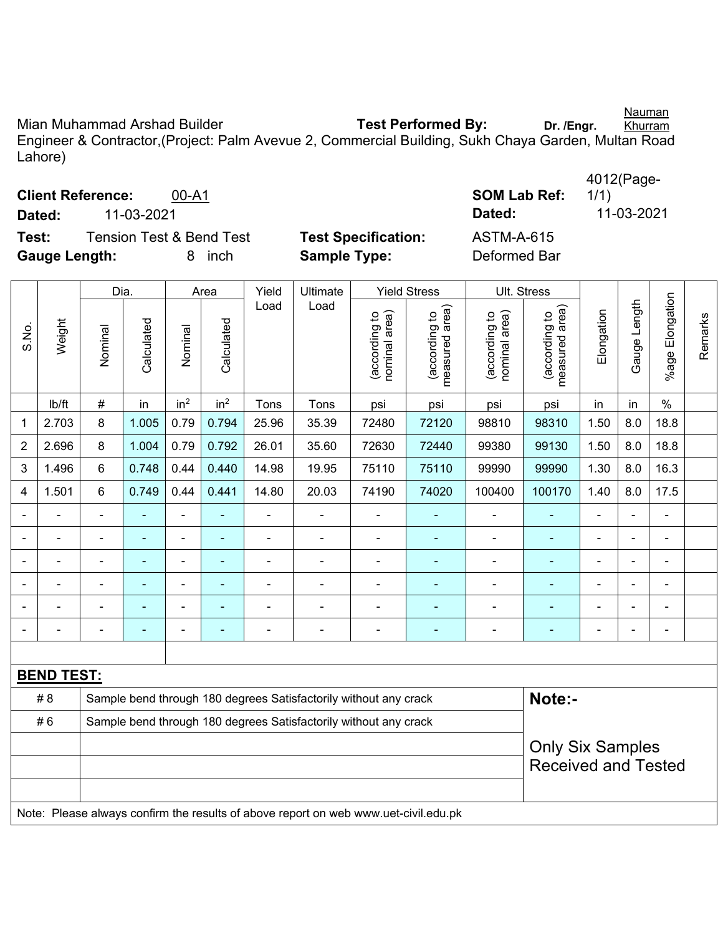Nauman

Mian Muhammad Arshad Builder **Test Performed By:** Dr. /Engr. Khurram Engineer & Contractor,(Project: Palm Avevue 2, Commercial Building, Sukh Chaya Garden, Multan Road Lahore)

| Test:<br><b>Gauge Length:</b> |                                                                        | <b>Tension Test &amp; Bend Test</b><br>inch<br>8 |                | <b>Test Specification:</b><br><b>Sample Type:</b> |                 | <b>ASTM-A-615</b><br>Deformed Bar |                                                                                     |                                |                                 |                                                       |                                 |                |                |                 |         |
|-------------------------------|------------------------------------------------------------------------|--------------------------------------------------|----------------|---------------------------------------------------|-----------------|-----------------------------------|-------------------------------------------------------------------------------------|--------------------------------|---------------------------------|-------------------------------------------------------|---------------------------------|----------------|----------------|-----------------|---------|
|                               |                                                                        | Dia.                                             |                |                                                   | Yield<br>Area   |                                   | Ultimate                                                                            | <b>Yield Stress</b>            |                                 | Ult. Stress                                           |                                 |                |                |                 |         |
| S.No.                         | Weight                                                                 | Nominal                                          | Calculated     | Nominal                                           | Calculated      | Load                              | Load                                                                                | nominal area)<br>(according to | measured area)<br>(according to | (according to<br>nominal area)                        | measured area)<br>(according to | Elongation     | Gauge Length   | %age Elongation | Remarks |
|                               | lb/ft                                                                  | $\#$                                             | in             | in <sup>2</sup>                                   | in <sup>2</sup> | Tons                              | Tons                                                                                | psi                            | psi                             | psi                                                   | psi                             | in             | in             | $\%$            |         |
| $\mathbf{1}$                  | 2.703                                                                  | 8                                                | 1.005          | 0.79                                              | 0.794           | 25.96                             | 35.39                                                                               | 72480                          | 72120                           | 98810                                                 | 98310                           | 1.50           | 8.0            | 18.8            |         |
| $\overline{2}$                | 2.696                                                                  | 8                                                | 1.004          | 0.79                                              | 0.792           | 26.01                             | 35.60                                                                               | 72630                          | 72440                           | 99380                                                 | 99130                           | 1.50           | 8.0            | 18.8            |         |
| $\mathfrak{3}$                | 1.496                                                                  | 6                                                | 0.748          | 0.44                                              | 0.440           | 14.98                             | 19.95                                                                               | 75110                          | 75110                           | 99990                                                 | 99990                           | 1.30           | 8.0            | 16.3            |         |
| $\overline{4}$                | 1.501                                                                  | 6                                                | 0.749          | 0.44                                              | 0.441           | 14.80                             | 20.03                                                                               | 74190                          | 74020                           | 100400                                                | 100170                          | 1.40           | 8.0            | 17.5            |         |
| $\blacksquare$                |                                                                        |                                                  |                |                                                   | ä,              | $\blacksquare$                    | $\blacksquare$                                                                      | -                              | $\blacksquare$                  |                                                       |                                 | $\blacksquare$ |                | $\overline{a}$  |         |
|                               |                                                                        |                                                  |                |                                                   |                 |                                   | $\blacksquare$                                                                      | ÷                              |                                 |                                                       |                                 |                |                |                 |         |
|                               |                                                                        |                                                  |                |                                                   |                 |                                   |                                                                                     |                                |                                 |                                                       |                                 |                |                |                 |         |
|                               | $\blacksquare$                                                         | $\blacksquare$                                   | $\blacksquare$ | $\blacksquare$                                    | ä,              | $\blacksquare$                    | $\qquad \qquad \blacksquare$                                                        | ÷,                             | $\blacksquare$                  | $\blacksquare$                                        | $\blacksquare$                  | ä,             | $\blacksquare$ | $\blacksquare$  |         |
|                               |                                                                        | $\blacksquare$                                   |                | ÷                                                 |                 | ÷                                 | $\blacksquare$                                                                      | $\overline{a}$                 | ÷                               |                                                       |                                 |                |                | ÷,              |         |
|                               |                                                                        |                                                  |                |                                                   |                 | $\blacksquare$                    | ÷,                                                                                  | ÷                              | $\blacksquare$                  | ÷,                                                    |                                 |                |                | $\overline{a}$  |         |
|                               | <b>BEND TEST:</b>                                                      |                                                  |                |                                                   |                 |                                   |                                                                                     |                                |                                 |                                                       |                                 |                |                |                 |         |
|                               | #8                                                                     |                                                  |                |                                                   |                 |                                   | Sample bend through 180 degrees Satisfactorily without any crack                    |                                |                                 |                                                       | Note:-                          |                |                |                 |         |
|                               | #6<br>Sample bend through 180 degrees Satisfactorily without any crack |                                                  |                |                                                   |                 |                                   |                                                                                     |                                |                                 |                                                       |                                 |                |                |                 |         |
|                               |                                                                        |                                                  |                |                                                   |                 |                                   |                                                                                     |                                |                                 | <b>Only Six Samples</b><br><b>Received and Tested</b> |                                 |                |                |                 |         |
|                               |                                                                        |                                                  |                |                                                   |                 |                                   | Note: Please always confirm the results of above report on web www.uet-civil.edu.pk |                                |                                 |                                                       |                                 |                |                |                 |         |

4012(Page-

1/1)

**Client Reference:** 00-A1 **SOM Lab Ref: Dated:** 11-03-2021 **Dated:** 11-03-2021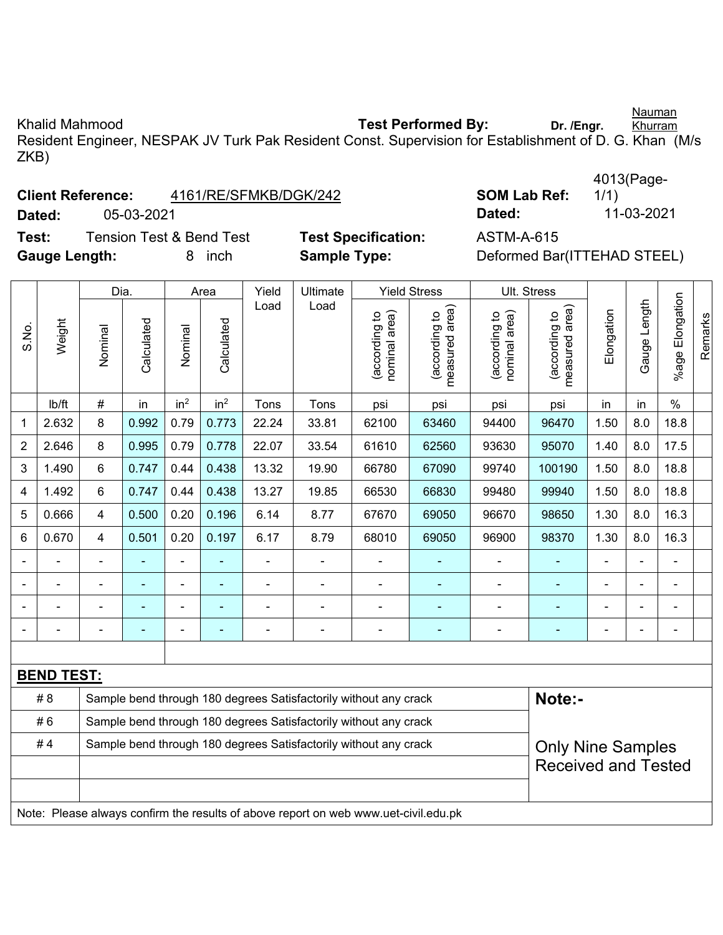Khalid Mahmood **Test Performed By:** Dr. /Engr. Khurram

Resident Engineer, NESPAK JV Turk Pak Resident Const. Supervision for Establishment of D. G. Khan (M/s ZKB)

## **Client Reference:** 4161/RE/SFMKB/DGK/242 **S**

**Dated:** 05-03-2021 **Dated:** 11-03-2021

**Test:** Tension Test & Bend Test **Test Specification:** ASTM-A-615 **Gauge Length:** 8 inch **Sample Type:** Deformed Bar(ITTEHAD STEEL)

|                    | 4013(Page- |
|--------------------|------------|
| <b>OM Lab Ref:</b> | 1/1)       |
| ated:              | 11-03-202  |

|       |                   | Dia.                                                                                         |                | Area            |                 | Yield          | Ultimate                                                                            |                                | <b>Yield Stress</b>             |                                | Ult. Stress                     |                |                |                       |                |
|-------|-------------------|----------------------------------------------------------------------------------------------|----------------|-----------------|-----------------|----------------|-------------------------------------------------------------------------------------|--------------------------------|---------------------------------|--------------------------------|---------------------------------|----------------|----------------|-----------------------|----------------|
| S.No. | Weight            | Nominal                                                                                      | Calculated     | Nominal         | Calculated      | Load           | Load                                                                                | nominal area)<br>(according to | (according to<br>measured area) | nominal area)<br>(according to | measured area)<br>(according to | Elongation     | Gauge Length   | Elongation<br>$%$ age | <b>Remarks</b> |
|       | lb/ft             | $\#$                                                                                         | in             | in <sup>2</sup> | in <sup>2</sup> | Tons           | Tons                                                                                | psi                            | psi                             | psi                            | psi                             | in             | in             | $\%$                  |                |
| 1     | 2.632             | 8                                                                                            | 0.992          | 0.79            | 0.773           | 22.24          | 33.81                                                                               | 62100                          | 63460                           | 94400                          | 96470                           | 1.50           | 8.0            | 18.8                  |                |
| 2     | 2.646             | 8                                                                                            | 0.995          | 0.79            | 0.778           | 22.07          | 33.54                                                                               | 61610                          | 62560                           | 93630                          | 95070                           | 1.40           | 8.0            | 17.5                  |                |
| 3     | 1.490             | 6                                                                                            | 0.747          | 0.44            | 0.438           | 13.32          | 19.90                                                                               | 66780                          | 67090                           | 99740                          | 100190                          | 1.50           | 8.0            | 18.8                  |                |
| 4     | 1.492             | 6                                                                                            | 0.747          | 0.44            | 0.438           | 13.27          | 19.85                                                                               | 66530                          | 66830                           | 99480                          | 99940                           | 1.50           | 8.0            | 18.8                  |                |
| 5     | 0.666             | 4                                                                                            | 0.500          | 0.20            | 0.196           | 6.14           | 8.77                                                                                | 67670                          | 69050                           | 96670                          | 98650                           | 1.30           | 8.0            | 16.3                  |                |
| 6     | 0.670             | 4                                                                                            | 0.501          | 0.20            | 0.197           | 6.17           | 8.79                                                                                | 68010                          | 69050                           | 96900                          | 98370                           | 1.30           | 8.0            | 16.3                  |                |
|       |                   | $\overline{\phantom{a}}$                                                                     | $\blacksquare$ | $\blacksquare$  | Е               | $\blacksquare$ | $\blacksquare$                                                                      |                                |                                 |                                | ÷,                              | $\blacksquare$ | $\blacksquare$ |                       |                |
|       |                   | ٠                                                                                            | $\blacksquare$ | ۰               | ٠               | $\blacksquare$ | $\blacksquare$                                                                      | $\blacksquare$                 | $\blacksquare$                  | $\overline{a}$                 | ÷,                              | $\blacksquare$ |                |                       |                |
|       |                   |                                                                                              | $\blacksquare$ | $\blacksquare$  |                 |                |                                                                                     | $\blacksquare$                 |                                 |                                | $\blacksquare$                  | $\blacksquare$ |                |                       |                |
|       |                   |                                                                                              |                |                 |                 |                |                                                                                     |                                |                                 |                                |                                 |                |                |                       |                |
|       |                   |                                                                                              |                |                 |                 |                |                                                                                     |                                |                                 |                                |                                 |                |                |                       |                |
|       | <b>BEND TEST:</b> |                                                                                              |                |                 |                 |                |                                                                                     |                                |                                 |                                |                                 |                |                |                       |                |
|       | #8                |                                                                                              |                |                 |                 |                | Sample bend through 180 degrees Satisfactorily without any crack                    |                                |                                 |                                | Note:-                          |                |                |                       |                |
|       | #6                | Sample bend through 180 degrees Satisfactorily without any crack                             |                |                 |                 |                |                                                                                     |                                |                                 |                                |                                 |                |                |                       |                |
|       | #4                | Sample bend through 180 degrees Satisfactorily without any crack<br><b>Only Nine Samples</b> |                |                 |                 |                |                                                                                     |                                |                                 |                                |                                 |                |                |                       |                |
|       |                   | <b>Received and Tested</b>                                                                   |                |                 |                 |                |                                                                                     |                                |                                 |                                |                                 |                |                |                       |                |
|       |                   |                                                                                              |                |                 |                 |                |                                                                                     |                                |                                 |                                |                                 |                |                |                       |                |
|       |                   |                                                                                              |                |                 |                 |                | Note: Please always confirm the results of above report on web www.uet-civil.edu.pk |                                |                                 |                                |                                 |                |                |                       |                |

Nauman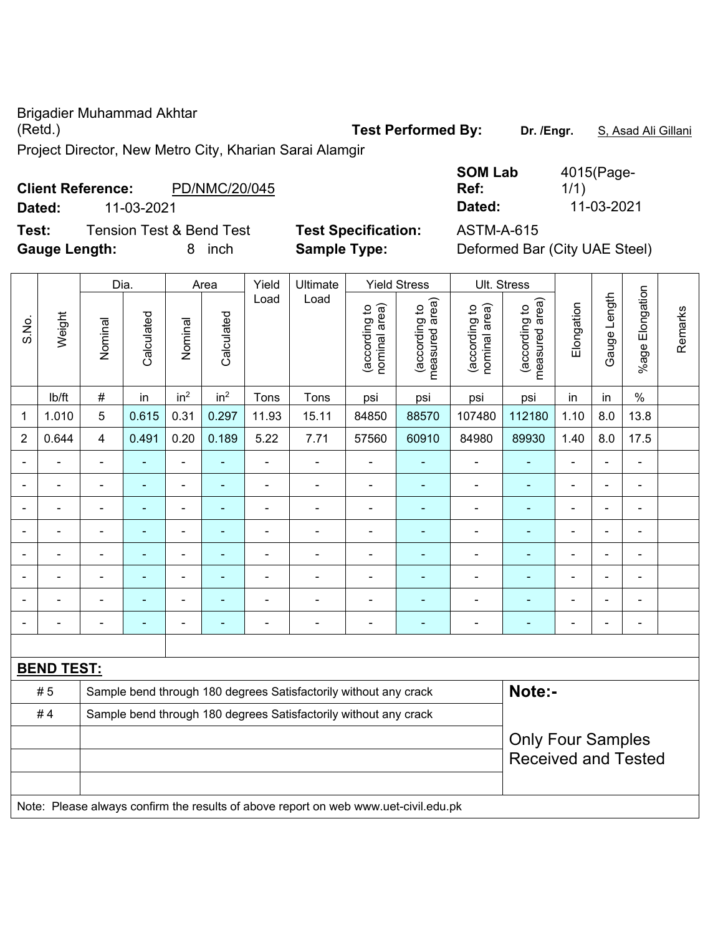Brigadier Muhammad Akhtar Project Director, New Metro City, Kharian Sarai Alamgir

**Client Reference:** PD/NMC/20/045 **Dated:** 11-03-2021 **Dated:** 11-03-2021 **Test:** Tension Test & Bend Test **Test Specification:** ASTM-A-615 **Gauge Length:** 8 inch **Sample Type:** Deformed Bar (City UAE Steel)

|                |        | Dia.                     |                          | Area            |                 | Yield          | Ultimate       |                               | <b>Yield Stress</b>             |                                | Ult. Stress                        |                |                          |                          |         |
|----------------|--------|--------------------------|--------------------------|-----------------|-----------------|----------------|----------------|-------------------------------|---------------------------------|--------------------------------|------------------------------------|----------------|--------------------------|--------------------------|---------|
| S.No.          | Weight | Nominal                  | Calculated               | Nominal         | Calculated      | Load           | Load           | nominal area)<br>decording to | measured area)<br>(according to | nominal area)<br>(according to | area)<br>(according to<br>measured | Elongation     | Length<br>Gauge          | Elongation<br>$%$ age    | Remarks |
|                | lb/ft  | $\#$                     | in                       | in <sup>2</sup> | in <sup>2</sup> | Tons           | Tons           | psi                           | psi                             | psi                            | psi                                | in             | in                       | $\%$                     |         |
| 1              | 1.010  | 5                        | 0.615                    | 0.31            | 0.297           | 11.93          | 15.11          | 84850                         | 88570                           | 107480                         | 112180                             | 1.10           | 8.0                      | 13.8                     |         |
| $\overline{2}$ | 0.644  | $\overline{4}$           | 0.491                    | 0.20            | 0.189           | 5.22           | 7.71           | 57560                         | 60910                           | 84980                          | 89930                              | 1.40           | 8.0                      | 17.5                     |         |
| $\blacksquare$ |        | $\blacksquare$           |                          |                 |                 | $\blacksquare$ | $\blacksquare$ | $\blacksquare$                |                                 |                                |                                    | $\blacksquare$ | $\equiv$                 | $\blacksquare$           |         |
|                |        |                          |                          |                 |                 |                |                |                               |                                 | -                              |                                    |                |                          |                          |         |
| $\blacksquare$ |        | $\blacksquare$           | $\blacksquare$           | $\blacksquare$  | $\blacksquare$  | $\blacksquare$ | $\blacksquare$ | $\blacksquare$                | $\blacksquare$                  | -                              |                                    | $\blacksquare$ | $\blacksquare$           | $\blacksquare$           |         |
|                |        | $\overline{\phantom{0}}$ | $\overline{\phantom{0}}$ |                 |                 | $\blacksquare$ | $\blacksquare$ | $\blacksquare$                |                                 | $\blacksquare$                 |                                    | $\blacksquare$ | $\equiv$                 | $\blacksquare$           |         |
| -              |        | -                        |                          |                 |                 | $\blacksquare$ | $\blacksquare$ | $\blacksquare$                |                                 | -                              |                                    | $\blacksquare$ |                          | $\overline{\phantom{0}}$ |         |
| $\blacksquare$ |        | $\blacksquare$           | $\blacksquare$           | -               |                 | $\blacksquare$ | $\blacksquare$ | $\blacksquare$                |                                 | $\blacksquare$                 |                                    | $\blacksquare$ |                          | $\blacksquare$           |         |
| $\blacksquare$ |        |                          |                          |                 |                 |                |                |                               |                                 | -                              |                                    |                |                          |                          |         |
|                |        | -                        | $\overline{\phantom{a}}$ | ٠               | $\blacksquare$  | -              | -              | $\overline{\phantom{0}}$      | $\overline{\phantom{0}}$        | -                              | $\overline{\phantom{0}}$           | $\overline{a}$ | $\overline{\phantom{0}}$ | $\overline{a}$           |         |
|                |        |                          |                          |                 |                 |                |                |                               |                                 |                                |                                    |                |                          |                          |         |

| <b>BEND TEST:</b> |                                                                                     |                          |  |  |  |  |  |  |  |  |  |  |
|-------------------|-------------------------------------------------------------------------------------|--------------------------|--|--|--|--|--|--|--|--|--|--|
| # 5               | Sample bend through 180 degrees Satisfactorily without any crack                    | Note:-                   |  |  |  |  |  |  |  |  |  |  |
| #4                | Sample bend through 180 degrees Satisfactorily without any crack                    |                          |  |  |  |  |  |  |  |  |  |  |
|                   |                                                                                     | <b>Only Four Samples</b> |  |  |  |  |  |  |  |  |  |  |
|                   | <b>Received and Tested</b>                                                          |                          |  |  |  |  |  |  |  |  |  |  |
|                   |                                                                                     |                          |  |  |  |  |  |  |  |  |  |  |
|                   | Note: Please always confirm the results of above report on web www.uet-civil.edu.pk |                          |  |  |  |  |  |  |  |  |  |  |

| 4015(Page- |
|------------|
| 1/1)       |
| 11-03-2021 |
|            |

Test Performed By: Dr. /Engr. **S. Asad Ali Gillani**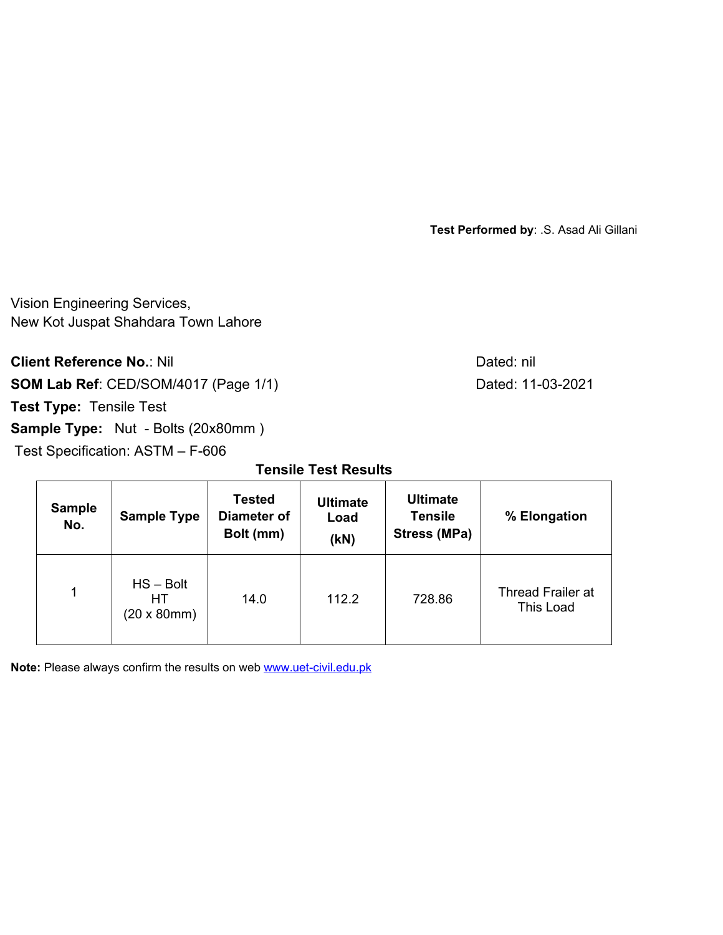Vision Engineering Services, New Kot Juspat Shahdara Town Lahore

**Client Reference No.: Nil Client Reference No.: Nil** 

**SOM Lab Ref**: CED/SOM/4017 (Page 1/1) Dated: 11-03-2021

**Test Type:** Tensile Test

**Sample Type:** Nut - Bolts (20x80mm)

Test Specification: ASTM – F-606

**Tensile Test Results** 

| <b>Sample</b><br>No. | <b>Sample Type</b>                              | <b>Tested</b><br><b>Diameter of</b><br>Bolt (mm) | <b>Ultimate</b><br>Load<br>(KN) | <b>Ultimate</b><br><b>Tensile</b><br><b>Stress (MPa)</b> | % Elongation                          |
|----------------------|-------------------------------------------------|--------------------------------------------------|---------------------------------|----------------------------------------------------------|---------------------------------------|
| 1                    | $HS - Bolt$<br>HТ<br>$(20 \times 80 \text{mm})$ | 14.0                                             | 112.2                           | 728.86                                                   | <b>Thread Frailer at</b><br>This Load |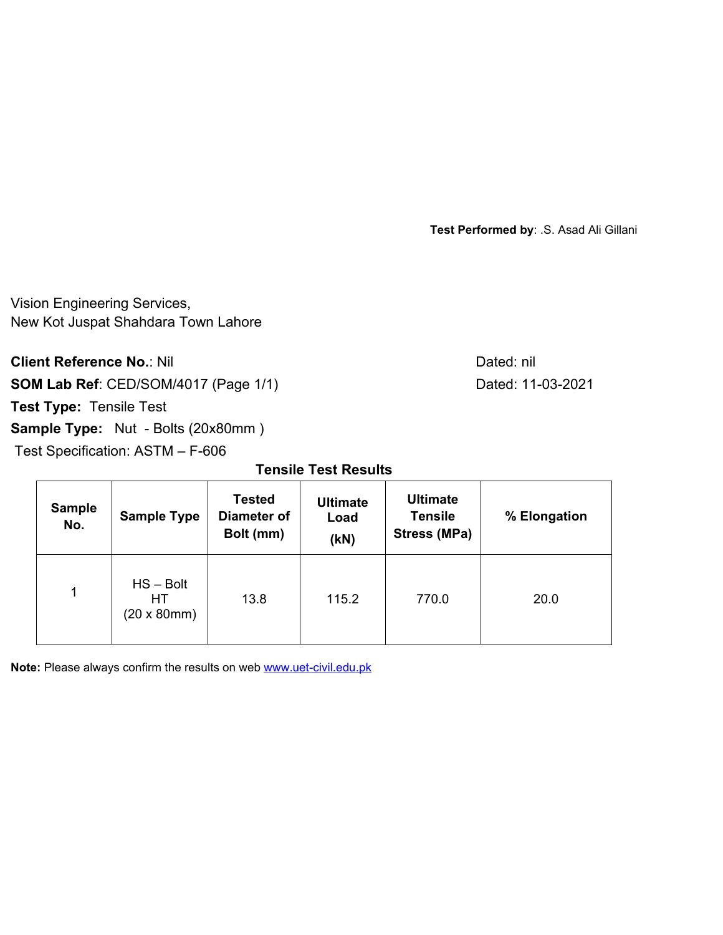Vision Engineering Services, New Kot Juspat Shahdara Town Lahore

**Client Reference No.: Nil Client Reference No.: Nil** 

**SOM Lab Ref**: CED/SOM/4017 (Page 1/1) Dated: 11-03-2021

**Test Type:** Tensile Test

**Sample Type:** Nut - Bolts (20x80mm)

Test Specification: ASTM – F-606

**Tensile Test Results** 

| <b>Sample</b><br>No. | <b>Sample Type</b>                              | <b>Tested</b><br>Diameter of<br>Bolt (mm) | <b>Ultimate</b><br>Load<br>(KN) | <b>Ultimate</b><br><b>Tensile</b><br><b>Stress (MPa)</b> | % Elongation |  |
|----------------------|-------------------------------------------------|-------------------------------------------|---------------------------------|----------------------------------------------------------|--------------|--|
| 1                    | $HS - Bolt$<br>HТ<br>$(20 \times 80 \text{mm})$ | 13.8                                      | 115.2                           | 770.0                                                    | 20.0         |  |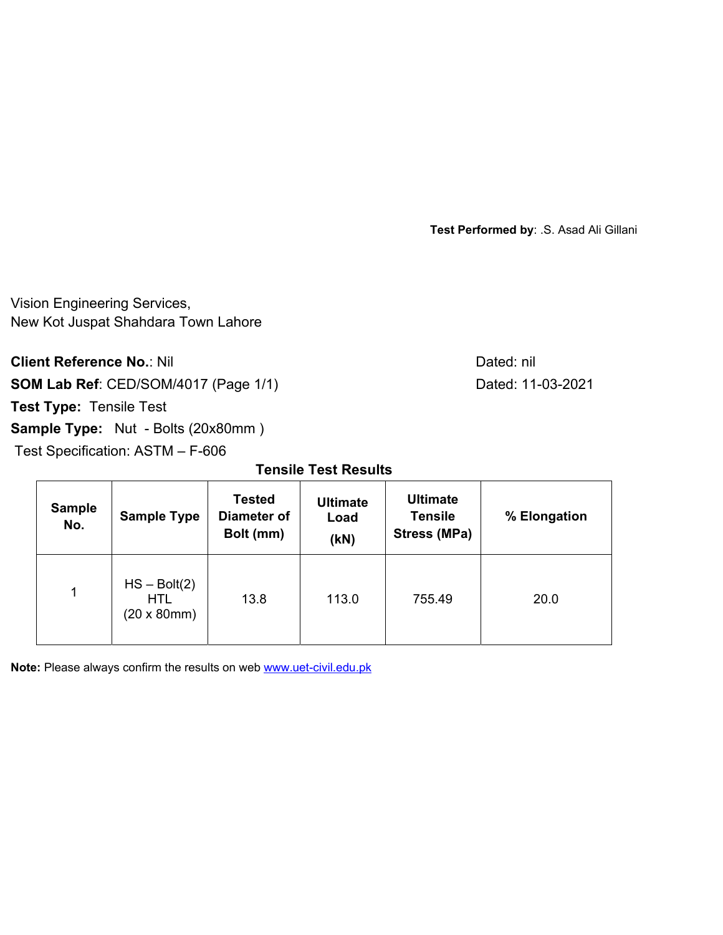Vision Engineering Services, New Kot Juspat Shahdara Town Lahore

**Client Reference No.: Nil Client Reference No.: Nil** 

**SOM Lab Ref**: CED/SOM/4017 (Page 1/1) Dated: 11-03-2021

**Test Type:** Tensile Test

**Sample Type:** Nut - Bolts (20x80mm)

Test Specification: ASTM – F-606

**Tensile Test Results** 

| <b>Sample</b><br>No. | <b>Sample Type</b>                                         | <b>Tested</b><br>Diameter of<br>Bolt (mm) | <b>Ultimate</b><br>Load<br>(KN) | <b>Ultimate</b><br><b>Tensile</b><br><b>Stress (MPa)</b> | % Elongation |  |
|----------------------|------------------------------------------------------------|-------------------------------------------|---------------------------------|----------------------------------------------------------|--------------|--|
| 1                    | $HS - Bolt(2)$<br><b>HTL</b><br>$(20 \times 80 \text{mm})$ | 13.8                                      | 113.0                           | 755.49                                                   | 20.0         |  |